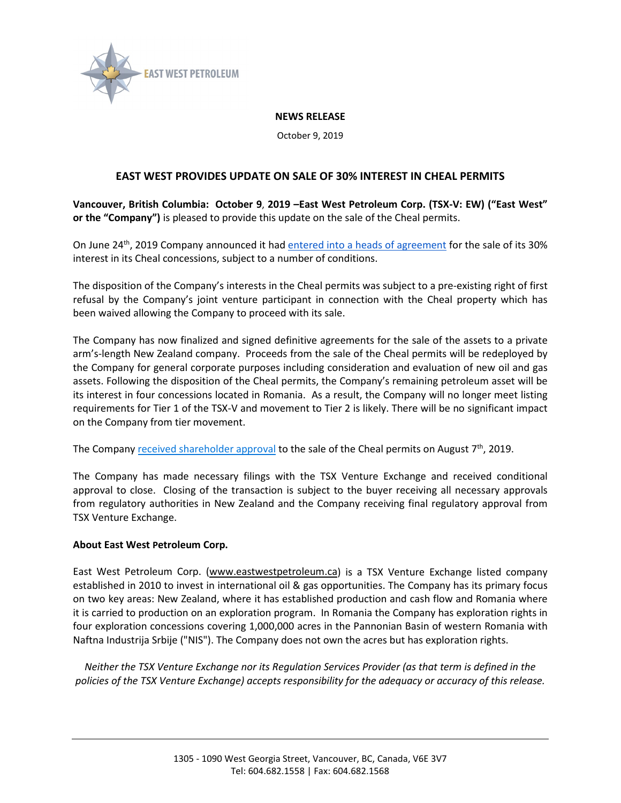

## **NEWS RELEASE**

October 9, 2019

## **EAST WEST PROVIDES UPDATE ON SALE OF 30% INTEREST IN CHEAL PERMITS**

**Vancouver, British Columbia: October 9**, **2019 –East West Petroleum Corp. (TSX-V: EW) ("East West" or the "Company")** is pleased to provide this update on the sale of the Cheal permits.

On June 24<sup>th</sup>, 2019 Company announced it had [entered into a heads of agreement](http://www.eastwestpetroleum.ca/news/news-releases/east-west-announces-heads-of-agreement-to-sell-new-zealand-assets) for the sale of its 30% interest in its Cheal concessions, subject to a number of conditions.

The disposition of the Company's interests in the Cheal permits was subject to a pre-existing right of first refusal by the Company's joint venture participant in connection with the Cheal property which has been waived allowing the Company to proceed with its sale.

The Company has now finalized and signed definitive agreements for the sale of the assets to a private arm's-length New Zealand company. Proceeds from the sale of the Cheal permits will be redeployed by the Company for general corporate purposes including consideration and evaluation of new oil and gas assets. Following the disposition of the Cheal permits, the Company's remaining petroleum asset will be its interest in four concessions located in Romania. As a result, the Company will no longer meet listing requirements for Tier 1 of the TSX-V and movement to Tier 2 is likely. There will be no significant impact on the Company from tier movement.

The Company [received shareholder approval](http://www.eastwestpetroleum.ca/news/news-releases/east-west-shareholders-approve-sale-of-30-interest-in-cheal-permits) to the sale of the Cheal permits on August 7<sup>th</sup>, 2019.

The Company has made necessary filings with the TSX Venture Exchange and received conditional approval to close. Closing of the transaction is subject to the buyer receiving all necessary approvals from regulatory authorities in New Zealand and the Company receiving final regulatory approval from TSX Venture Exchange.

## **About East West Petroleum Corp.**

East West Petroleum Corp. [\(www.eastwestpetroleum.ca\)](http://www.eastwestpetroleum.ca/) is a TSX Venture Exchange listed company established in 2010 to invest in international oil & gas opportunities. The Company has its primary focus on two key areas: New Zealand, where it has established production and cash flow and Romania where it is carried to production on an exploration program. In Romania the Company has exploration rights in four exploration concessions covering 1,000,000 acres in the Pannonian Basin of western Romania with Naftna Industrija Srbije ("NIS"). The Company does not own the acres but has exploration rights.

*Neither the TSX Venture Exchange nor its Regulation Services Provider (as that term is defined in the policies of the TSX Venture Exchange) accepts responsibility for the adequacy or accuracy of this release.*